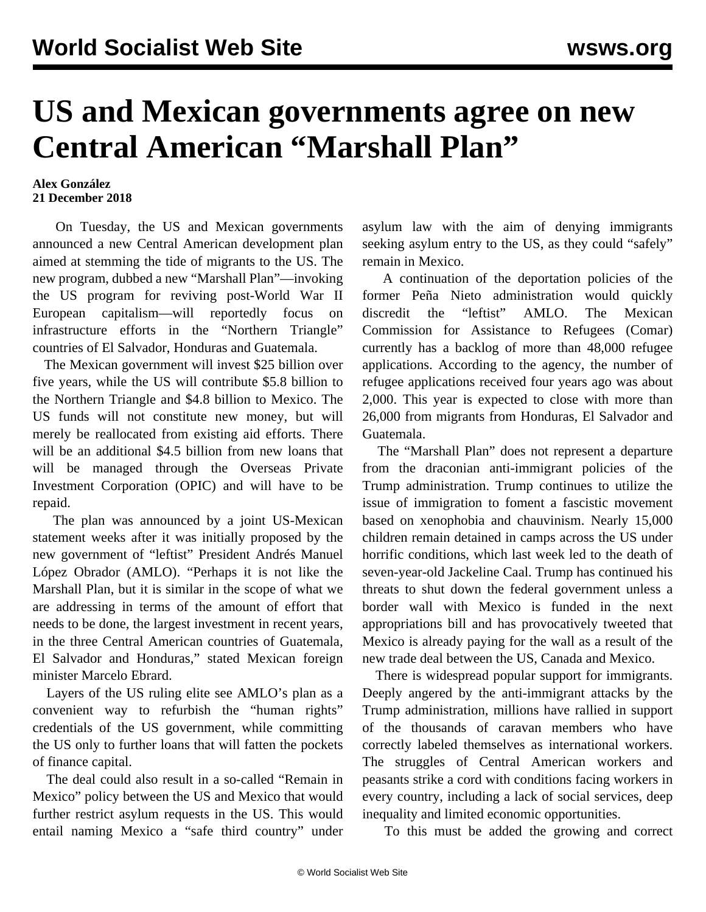## **US and Mexican governments agree on new Central American "Marshall Plan"**

## **Alex González 21 December 2018**

 On Tuesday, the US and Mexican governments announced a new Central American development plan aimed at stemming the tide of migrants to the US. The new program, dubbed a new "Marshall Plan"—invoking the US program for reviving post-World War II European capitalism—will reportedly focus on infrastructure efforts in the "Northern Triangle" countries of El Salvador, Honduras and Guatemala.

 The Mexican government will invest \$25 billion over five years, while the US will contribute \$5.8 billion to the Northern Triangle and \$4.8 billion to Mexico. The US funds will not constitute new money, but will merely be reallocated from existing aid efforts. There will be an additional \$4.5 billion from new loans that will be managed through the Overseas Private Investment Corporation (OPIC) and will have to be repaid.

 The plan was announced by a joint US-Mexican statement weeks after it was initially proposed by the new government of "leftist" President Andrés Manuel López Obrador (AMLO). "Perhaps it is not like the Marshall Plan, but it is similar in the scope of what we are addressing in terms of the amount of effort that needs to be done, the largest investment in recent years, in the three Central American countries of Guatemala, El Salvador and Honduras," stated Mexican foreign minister Marcelo Ebrard.

 Layers of the US ruling elite see AMLO's plan as a convenient way to refurbish the "human rights" credentials of the US government, while committing the US only to further loans that will fatten the pockets of finance capital.

 The deal could also result in a so-called "Remain in Mexico" policy between the US and Mexico that would further restrict asylum requests in the US. This would entail naming Mexico a "safe third country" under asylum law with the aim of denying immigrants seeking asylum entry to the US, as they could "safely" remain in Mexico.

 A continuation of the deportation policies of the former Peña Nieto administration would quickly discredit the "leftist" AMLO. The Mexican Commission for Assistance to Refugees (Comar) currently has a backlog of more than 48,000 refugee applications. According to the agency, the number of refugee applications received four years ago was about 2,000. This year is expected to close with more than 26,000 from migrants from Honduras, El Salvador and Guatemala.

 The "Marshall Plan" does not represent a departure from the draconian anti-immigrant policies of the Trump administration. Trump continues to utilize the issue of immigration to foment a fascistic movement based on xenophobia and chauvinism. Nearly 15,000 children remain detained in camps across the US under horrific conditions, which last week led to the death of seven-year-old [Jackeline Caal](/en/articles/2018/12/15/immi-d15.html). Trump has continued his threats to shut down the federal government unless a border wall with Mexico is funded in the next appropriations bill and has provocatively tweeted that Mexico is already paying for the wall as a result of the new trade deal between the US, Canada and Mexico.

 There is widespread popular support for immigrants. Deeply angered by the anti-immigrant attacks by the Trump administration, millions have rallied in support of the thousands of caravan members who have correctly labeled themselves as international workers. The struggles of Central American workers and peasants strike a cord with conditions facing workers in every country, including a lack of social services, deep inequality and limited economic opportunities.

To this must be added the growing and correct